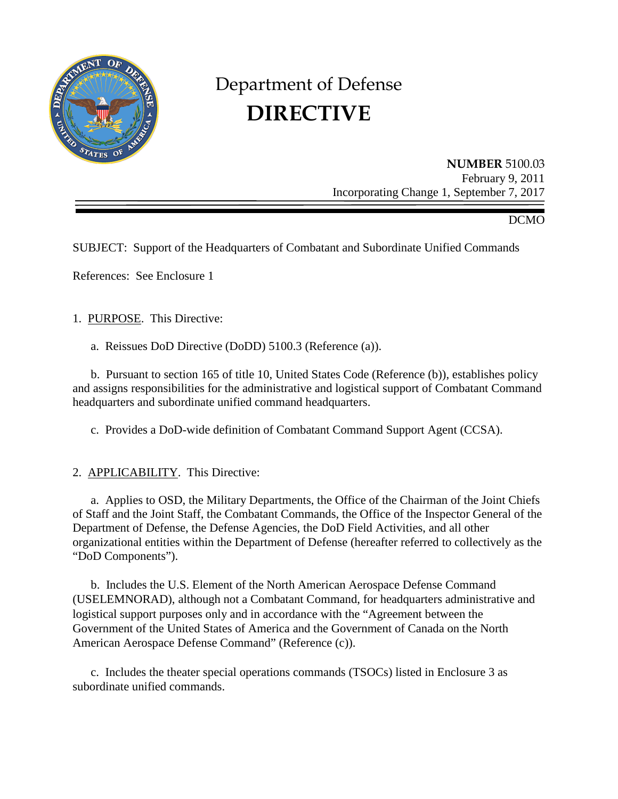

# Department of Defense **DIRECTIVE**

**NUMBER** 5100.03 February 9, 2011 Incorporating Change 1, September 7, 2017

## DCMO

SUBJECT: Support of the Headquarters of Combatant and Subordinate Unified Commands

References: See Enclosure 1

1. PURPOSE. This Directive:

a. Reissues DoD Directive (DoDD) 5100.3 (Reference (a)).

b. Pursuant to section 165 of title 10, United States Code (Reference (b)), establishes policy and assigns responsibilities for the administrative and logistical support of Combatant Command headquarters and subordinate unified command headquarters.

c. Provides a DoD-wide definition of Combatant Command Support Agent (CCSA).

2. APPLICABILITY. This Directive:

a. Applies to OSD, the Military Departments, the Office of the Chairman of the Joint Chiefs of Staff and the Joint Staff, the Combatant Commands, the Office of the Inspector General of the Department of Defense, the Defense Agencies, the DoD Field Activities, and all other organizational entities within the Department of Defense (hereafter referred to collectively as the "DoD Components").

 b. Includes the U.S. Element of the North American Aerospace Defense Command (USELEMNORAD), although not a Combatant Command, for headquarters administrative and logistical support purposes only and in accordance with the "Agreement between the Government of the United States of America and the Government of Canada on the North American Aerospace Defense Command" (Reference (c)).

c. Includes the theater special operations commands (TSOCs) listed in Enclosure 3 as subordinate unified commands.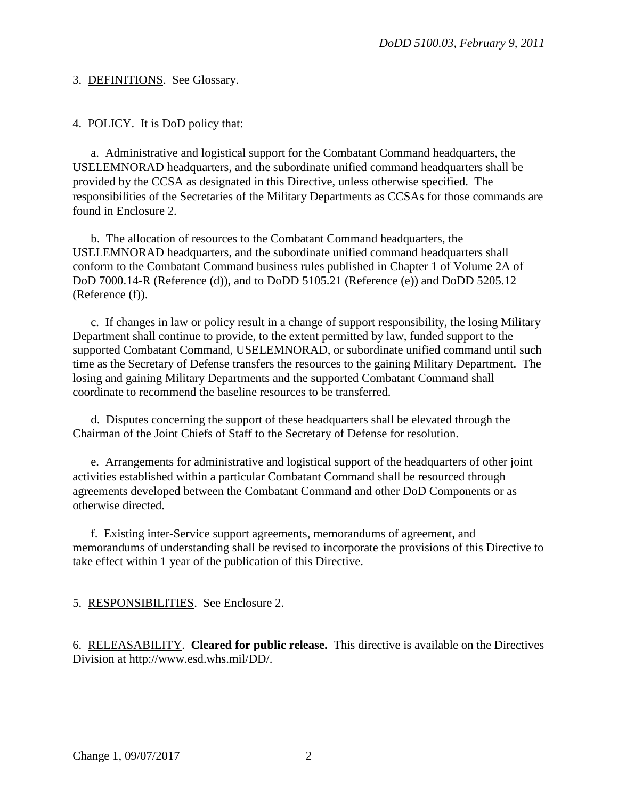3. DEFINITIONS. See Glossary.

4. POLICY. It is DoD policy that:

a. Administrative and logistical support for the Combatant Command headquarters, the USELEMNORAD headquarters, and the subordinate unified command headquarters shall be provided by the CCSA as designated in this Directive, unless otherwise specified. The responsibilities of the Secretaries of the Military Departments as CCSAs for those commands are found in Enclosure 2.

b. The allocation of resources to the Combatant Command headquarters, the USELEMNORAD headquarters, and the subordinate unified command headquarters shall conform to the Combatant Command business rules published in Chapter 1 of Volume 2A of DoD 7000.14-R (Reference (d)), and to DoDD 5105.21 (Reference (e)) and DoDD 5205.12 (Reference (f)).

c. If changes in law or policy result in a change of support responsibility, the losing Military Department shall continue to provide, to the extent permitted by law, funded support to the supported Combatant Command, USELEMNORAD, or subordinate unified command until such time as the Secretary of Defense transfers the resources to the gaining Military Department. The losing and gaining Military Departments and the supported Combatant Command shall coordinate to recommend the baseline resources to be transferred.

d. Disputes concerning the support of these headquarters shall be elevated through the Chairman of the Joint Chiefs of Staff to the Secretary of Defense for resolution.

e. Arrangements for administrative and logistical support of the headquarters of other joint activities established within a particular Combatant Command shall be resourced through agreements developed between the Combatant Command and other DoD Components or as otherwise directed.

f. Existing inter-Service support agreements, memorandums of agreement, and memorandums of understanding shall be revised to incorporate the provisions of this Directive to take effect within 1 year of the publication of this Directive.

5. RESPONSIBILITIES. See Enclosure 2.

6. RELEASABILITY. **Cleared for public release.** This directive is available on the Directives Division at http://www.esd.whs.mil/DD/.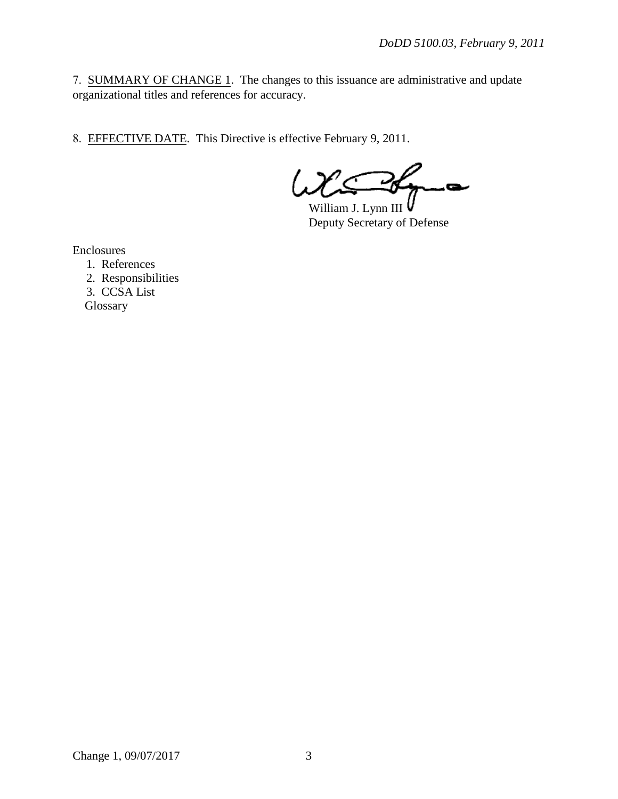7. SUMMARY OF CHANGE 1. The changes to this issuance are administrative and update organizational titles and references for accuracy.

8. EFFECTIVE DATE. This Directive is effective February 9, 2011.

ىھ

William J. Lynn III Deputy Secretary of Defense

Enclosures

- 1. References
- 2. Responsibilities
- 3. CCSA List

Glossary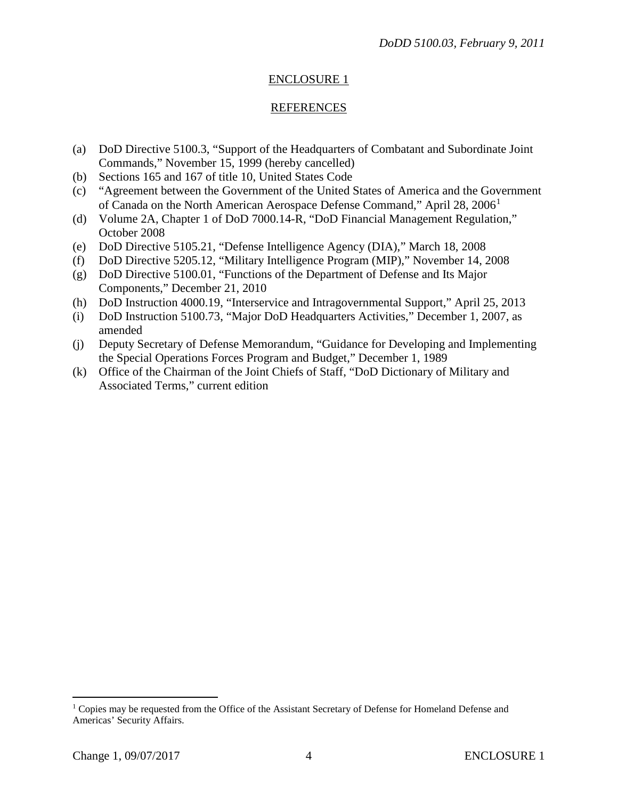## ENCLOSURE 1

#### REFERENCES

- (a) DoD Directive 5100.3, "Support of the Headquarters of Combatant and Subordinate Joint Commands," November 15, 1999 (hereby cancelled)
- (b) Sections 165 and 167 of title 10, United States Code
- (c) "Agreement between the Government of the United States of America and the Government of Canada on the North American Aerospace Defense Command," April 28, 2006[1](#page-3-0)
- (d) Volume 2A, Chapter 1 of DoD 7000.14-R, "DoD Financial Management Regulation," October 2008
- (e) DoD Directive 5105.21, "Defense Intelligence Agency (DIA)," March 18, 2008
- (f) DoD Directive 5205.12, "Military Intelligence Program (MIP)," November 14, 2008
- (g) DoD Directive 5100.01, "Functions of the Department of Defense and Its Major Components," December 21, 2010
- (h) DoD Instruction 4000.19, "Interservice and Intragovernmental Support," April 25, 2013
- (i) DoD Instruction 5100.73, "Major DoD Headquarters Activities," December 1, 2007, as amended
- (j) Deputy Secretary of Defense Memorandum, "Guidance for Developing and Implementing the Special Operations Forces Program and Budget," December 1, 1989
- (k) Office of the Chairman of the Joint Chiefs of Staff, "DoD Dictionary of Military and Associated Terms," current edition

<span id="page-3-0"></span><sup>&</sup>lt;sup>1</sup> Copies may be requested from the Office of the Assistant Secretary of Defense for Homeland Defense and Americas' Security Affairs.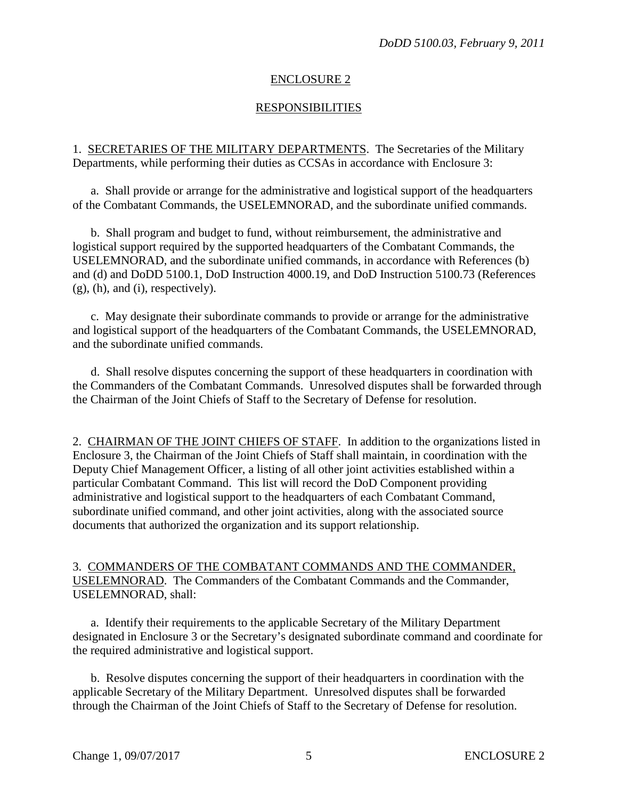### ENCLOSURE 2

#### RESPONSIBILITIES

1. SECRETARIES OF THE MILITARY DEPARTMENTS. The Secretaries of the Military Departments, while performing their duties as CCSAs in accordance with Enclosure 3:

a. Shall provide or arrange for the administrative and logistical support of the headquarters of the Combatant Commands, the USELEMNORAD, and the subordinate unified commands.

b. Shall program and budget to fund, without reimbursement, the administrative and logistical support required by the supported headquarters of the Combatant Commands, the USELEMNORAD, and the subordinate unified commands, in accordance with References (b) and (d) and DoDD 5100.1, DoD Instruction 4000.19, and DoD Instruction 5100.73 (References (g), (h), and (i), respectively).

c. May designate their subordinate commands to provide or arrange for the administrative and logistical support of the headquarters of the Combatant Commands, the USELEMNORAD, and the subordinate unified commands.

d. Shall resolve disputes concerning the support of these headquarters in coordination with the Commanders of the Combatant Commands. Unresolved disputes shall be forwarded through the Chairman of the Joint Chiefs of Staff to the Secretary of Defense for resolution.

2. CHAIRMAN OF THE JOINT CHIEFS OF STAFF. In addition to the organizations listed in Enclosure 3, the Chairman of the Joint Chiefs of Staff shall maintain, in coordination with the Deputy Chief Management Officer, a listing of all other joint activities established within a particular Combatant Command. This list will record the DoD Component providing administrative and logistical support to the headquarters of each Combatant Command, subordinate unified command, and other joint activities, along with the associated source documents that authorized the organization and its support relationship.

3. COMMANDERS OF THE COMBATANT COMMANDS AND THE COMMANDER, USELEMNORAD. The Commanders of the Combatant Commands and the Commander, USELEMNORAD, shall:

a. Identify their requirements to the applicable Secretary of the Military Department designated in Enclosure 3 or the Secretary's designated subordinate command and coordinate for the required administrative and logistical support.

b. Resolve disputes concerning the support of their headquarters in coordination with the applicable Secretary of the Military Department. Unresolved disputes shall be forwarded through the Chairman of the Joint Chiefs of Staff to the Secretary of Defense for resolution.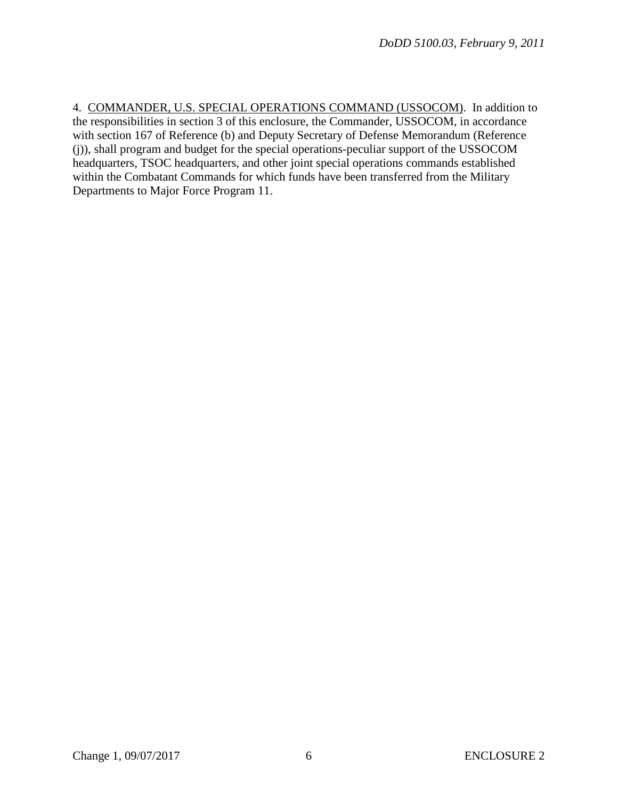4. COMMANDER, U.S. SPECIAL OPERATIONS COMMAND (USSOCOM). In addition to the responsibilities in section 3 of this enclosure, the Commander, USSOCOM, in accordance with section 167 of Reference (b) and Deputy Secretary of Defense Memorandum (Reference (j)), shall program and budget for the special operations-peculiar support of the USSOCOM headquarters, TSOC headquarters, and other joint special operations commands established within the Combatant Commands for which funds have been transferred from the Military Departments to Major Force Program 11.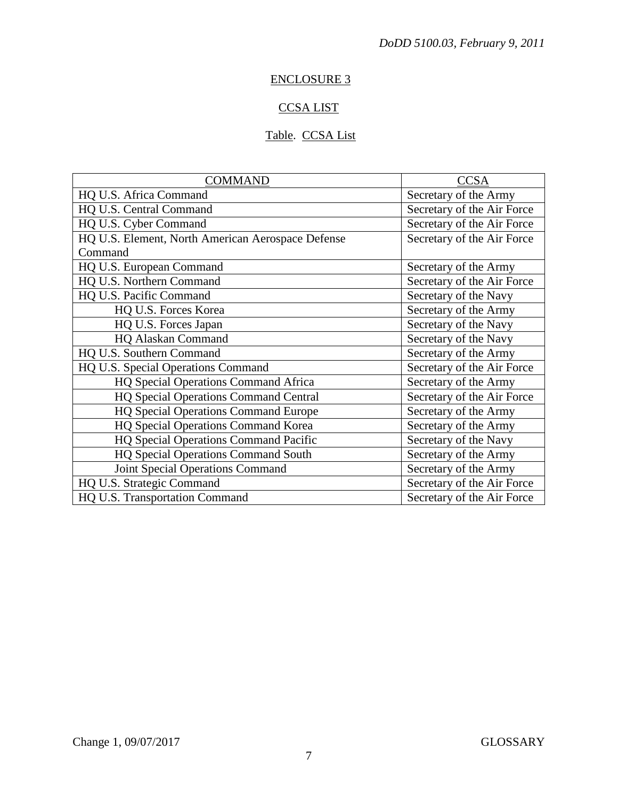## ENCLOSURE 3

## CCSA LIST

## Table. CCSA List

| <b>COMMAND</b>                                    | <b>CCSA</b>                |
|---------------------------------------------------|----------------------------|
| HQ U.S. Africa Command                            | Secretary of the Army      |
| HQ U.S. Central Command                           | Secretary of the Air Force |
| HQ U.S. Cyber Command                             | Secretary of the Air Force |
| HQ U.S. Element, North American Aerospace Defense | Secretary of the Air Force |
| Command                                           |                            |
| HQ U.S. European Command                          | Secretary of the Army      |
| HQ U.S. Northern Command                          | Secretary of the Air Force |
| HQ U.S. Pacific Command                           | Secretary of the Navy      |
| HQ U.S. Forces Korea                              | Secretary of the Army      |
| HQ U.S. Forces Japan                              | Secretary of the Navy      |
| <b>HQ Alaskan Command</b>                         | Secretary of the Navy      |
| HQ U.S. Southern Command                          | Secretary of the Army      |
| HQ U.S. Special Operations Command                | Secretary of the Air Force |
| HQ Special Operations Command Africa              | Secretary of the Army      |
| <b>HQ Special Operations Command Central</b>      | Secretary of the Air Force |
| <b>HQ Special Operations Command Europe</b>       | Secretary of the Army      |
| <b>HQ Special Operations Command Korea</b>        | Secretary of the Army      |
| <b>HQ Special Operations Command Pacific</b>      | Secretary of the Navy      |
| HQ Special Operations Command South               | Secretary of the Army      |
| Joint Special Operations Command                  | Secretary of the Army      |
| HQ U.S. Strategic Command                         | Secretary of the Air Force |
| HQ U.S. Transportation Command                    | Secretary of the Air Force |